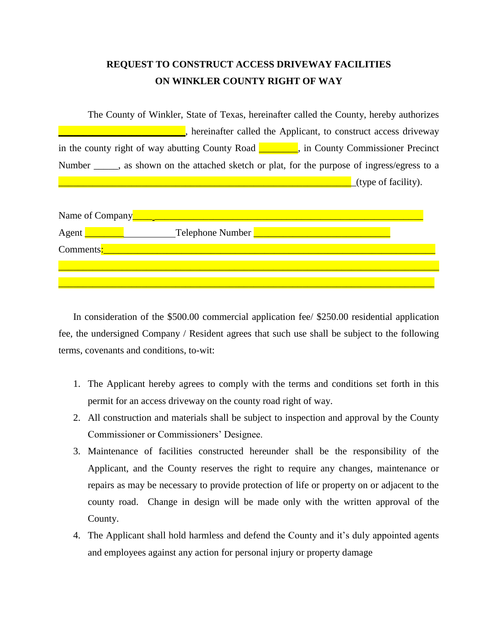## **REQUEST TO CONSTRUCT ACCESS DRIVEWAY FACILITIES ON WINKLER COUNTY RIGHT OF WAY**

| The County of Winkler, State of Texas, hereinafter called the County, hereby authorizes                                      |
|------------------------------------------------------------------------------------------------------------------------------|
| hereinafter called the Applicant, to construct access driveway                                                               |
| in the county right of way abutting County Road $\blacksquare$<br>$\overline{\phantom{a}}$ , in County Commissioner Precinct |
| Number _____, as shown on the attached sketch or plat, for the purpose of ingress/egress to a                                |
| $(t$ ype of facility).                                                                                                       |
|                                                                                                                              |

| Name of Company |                  |
|-----------------|------------------|
| Agent           | Telephone Number |
| Comments:       |                  |
|                 |                  |
|                 |                  |

In consideration of the \$500.00 commercial application fee/ \$250.00 residential application fee, the undersigned Company / Resident agrees that such use shall be subject to the following terms, covenants and conditions, to-wit:

- 1. The Applicant hereby agrees to comply with the terms and conditions set forth in this permit for an access driveway on the county road right of way.
- 2. All construction and materials shall be subject to inspection and approval by the County Commissioner or Commissioners' Designee.
- 3. Maintenance of facilities constructed hereunder shall be the responsibility of the Applicant, and the County reserves the right to require any changes, maintenance or repairs as may be necessary to provide protection of life or property on or adjacent to the county road. Change in design will be made only with the written approval of the County.
- 4. The Applicant shall hold harmless and defend the County and it's duly appointed agents and employees against any action for personal injury or property damage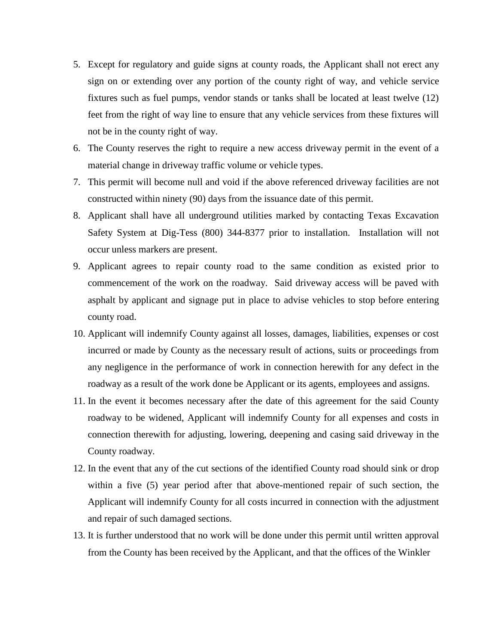- 5. Except for regulatory and guide signs at county roads, the Applicant shall not erect any sign on or extending over any portion of the county right of way, and vehicle service fixtures such as fuel pumps, vendor stands or tanks shall be located at least twelve (12) feet from the right of way line to ensure that any vehicle services from these fixtures will not be in the county right of way.
- 6. The County reserves the right to require a new access driveway permit in the event of a material change in driveway traffic volume or vehicle types.
- 7. This permit will become null and void if the above referenced driveway facilities are not constructed within ninety (90) days from the issuance date of this permit.
- 8. Applicant shall have all underground utilities marked by contacting Texas Excavation Safety System at Dig-Tess (800) 344-8377 prior to installation. Installation will not occur unless markers are present.
- 9. Applicant agrees to repair county road to the same condition as existed prior to commencement of the work on the roadway. Said driveway access will be paved with asphalt by applicant and signage put in place to advise vehicles to stop before entering county road.
- 10. Applicant will indemnify County against all losses, damages, liabilities, expenses or cost incurred or made by County as the necessary result of actions, suits or proceedings from any negligence in the performance of work in connection herewith for any defect in the roadway as a result of the work done be Applicant or its agents, employees and assigns.
- 11. In the event it becomes necessary after the date of this agreement for the said County roadway to be widened, Applicant will indemnify County for all expenses and costs in connection therewith for adjusting, lowering, deepening and casing said driveway in the County roadway.
- 12. In the event that any of the cut sections of the identified County road should sink or drop within a five (5) year period after that above-mentioned repair of such section, the Applicant will indemnify County for all costs incurred in connection with the adjustment and repair of such damaged sections.
- 13. It is further understood that no work will be done under this permit until written approval from the County has been received by the Applicant, and that the offices of the Winkler